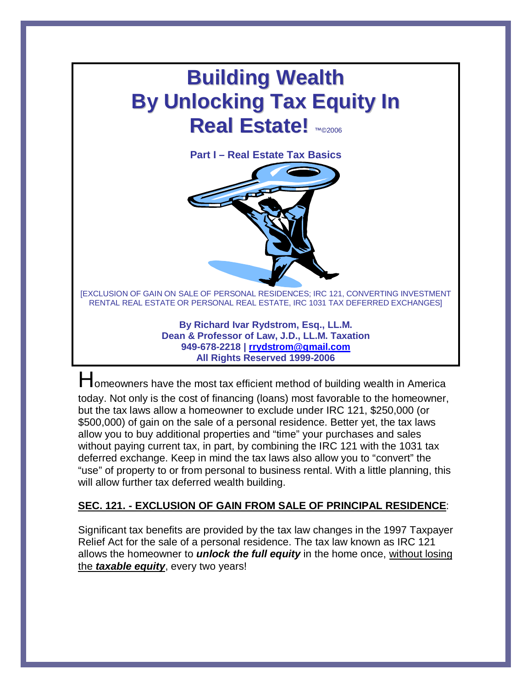# **Building Wealth By Unlocking Tax Equity In Real Estate!** ™©2006

**Part I – Real Estate Tax Basics**



[EXCLUSION OF GAIN ON SALE OF PERSONAL RESIDENCES; IRC 121, CONVERTING INVESTMENT RENTAL REAL ESTATE OR PERSONAL REAL ESTATE, IRC 1031 TAX DEFERRED EXCHANGES]

> **By Richard Ivar Rydstrom, Esq., LL.M. Dean & Professor of Law, J.D., LL.M. Taxation 949-678-2218 | [rrydstrom@gmail.com](mailto:rrydstrom@gmail.com) All Rights Reserved 1999-2006**

Homeowners have the most tax efficient method of building wealth in America today. Not only is the cost of financing (loans) most favorable to the homeowner, but the tax laws allow a homeowner to exclude under IRC 121, \$250,000 (or \$500,000) of gain on the sale of a personal residence. Better yet, the tax laws allow you to buy additional properties and "time" your purchases and sales without paying current tax, in part, by combining the IRC 121 with the 1031 tax deferred exchange. Keep in mind the tax laws also allow you to "convert" the "use" of property to or from personal to business rental. With a little planning, this will allow further tax deferred wealth building.

## **SEC. 121. - EXCLUSION OF GAIN FROM SALE OF PRINCIPAL RESIDENCE**:

Significant tax benefits are provided by the tax law changes in the 1997 Taxpayer Relief Act for the sale of a personal residence. The tax law known as IRC 121 allows the homeowner to *unlock the full equity* in the home once, without losing the *taxable equity*, every two years!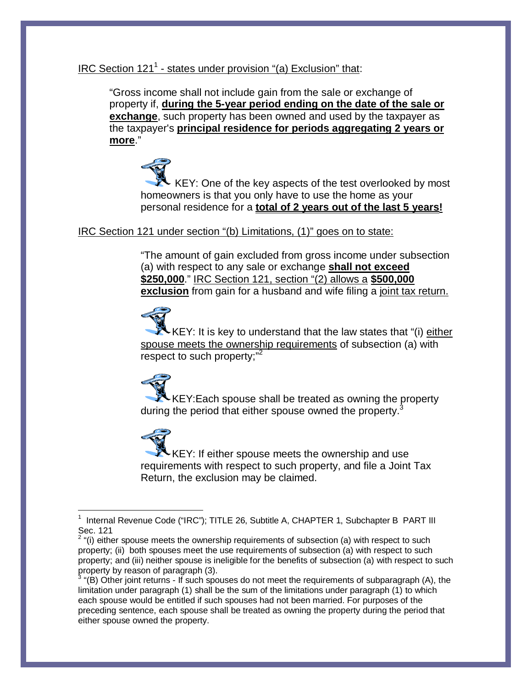## IRC Section 121<sup>1</sup> - states under provision "(a) Exclusion" that:

"Gross income shall not include gain from the sale or exchange of property if, **during the 5-year period ending on the date of the sale or exchange**, such property has been owned and used by the taxpayer as the taxpayer's **principal residence for periods aggregating 2 years or more**."

 KEY: One of the key aspects of the test overlooked by most homeowners is that you only have to use the home as your personal residence for a **total of 2 years out of the last 5 years!**

### IRC Section 121 under section "(b) Limitations, (1)" goes on to state:

"The amount of gain excluded from gross income under subsection (a) with respect to any sale or exchange **shall not exceed \$250,000**." IRC Section 121, section "(2) allows a **\$500,000 exclusion** from gain for a husband and wife filing a joint tax return.

KEY: It is key to understand that the law states that "(i)  $e$ ither spouse meets the ownership requirements of subsection (a) with respect to such property;"<sup>2</sup>

KEY:Each spouse shall be treated as owning the property during the period that either spouse owned the property.<sup>3</sup>

KEY: If either spouse meets the ownership and use requirements with respect to such property, and file a Joint Tax Return, the exclusion may be claimed.

<sup>1</sup> Internal Revenue Code ("IRC"); TITLE 26, Subtitle A, CHAPTER 1, Subchapter B PART III Sec. 121

 $2$  "(i) either spouse meets the ownership requirements of subsection (a) with respect to such property; (ii) both spouses meet the use requirements of subsection (a) with respect to such property; and (iii) neither spouse is ineligible for the benefits of subsection (a) with respect to such property by reason of paragraph (3).

 $3$  "(B) Other joint returns - If such spouses do not meet the requirements of subparagraph (A), the limitation under paragraph (1) shall be the sum of the limitations under paragraph (1) to which each spouse would be entitled if such spouses had not been married. For purposes of the preceding sentence, each spouse shall be treated as owning the property during the period that either spouse owned the property.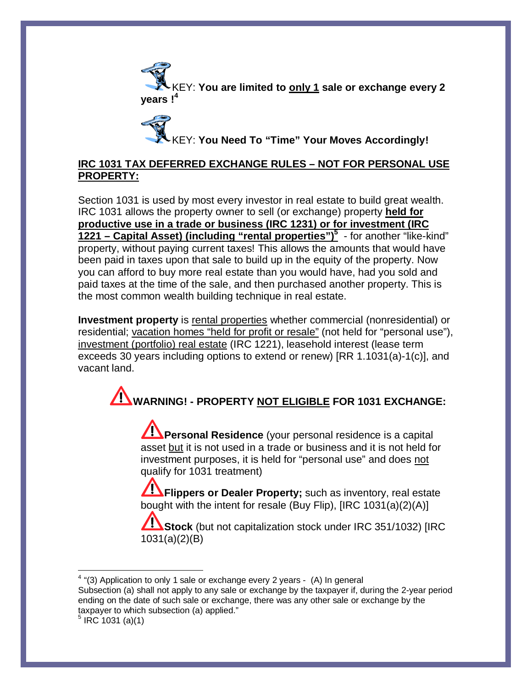KEY: **You are limited to only 1 sale or exchange every 2 years !<sup>4</sup>**

KEY: **You Need To "Time" Your Moves Accordingly!**

## **IRC 1031 TAX DEFERRED EXCHANGE RULES – NOT FOR PERSONAL USE PROPERTY:**

Section 1031 is used by most every investor in real estate to build great wealth. IRC 1031 allows the property owner to sell (or exchange) property **held for productive use in a trade or business (IRC 1231) or for investment (IRC 1221 – Capital Asset) (including "rental properties")<sup>5</sup>** - for another "like-kind" property, without paying current taxes! This allows the amounts that would have been paid in taxes upon that sale to build up in the equity of the property. Now you can afford to buy more real estate than you would have, had you sold and paid taxes at the time of the sale, and then purchased another property. This is the most common wealth building technique in real estate.

**Investment property** is rental properties whether commercial (nonresidential) or residential; vacation homes "held for profit or resale" (not held for "personal use"), investment (portfolio) real estate (IRC 1221), leasehold interest (lease term exceeds 30 years including options to extend or renew) [RR 1.1031(a)-1(c)], and vacant land.

**WARNING! - PROPERTY NOT ELIGIBLE FOR 1031 EXCHANGE:**

**Personal Residence** (your personal residence is a capital asset but it is not used in a trade or business and it is not held for investment purposes, it is held for "personal use" and does not qualify for 1031 treatment)

**Flippers or Dealer Property;** such as inventory, real estate bought with the intent for resale (Buy Flip), [IRC 1031(a)(2)(A)]

**Stock** (but not capitalization stock under IRC 351/1032) [IRC 1031(a)(2)(B)

Subsection (a) shall not apply to any sale or exchange by the taxpayer if, during the 2-year period ending on the date of such sale or exchange, there was any other sale or exchange by the taxpayer to which subsection (a) applied."

 $4$  "(3) Application to only 1 sale or exchange every 2 years - (A) In general

 $5$  IRC 1031 (a)(1)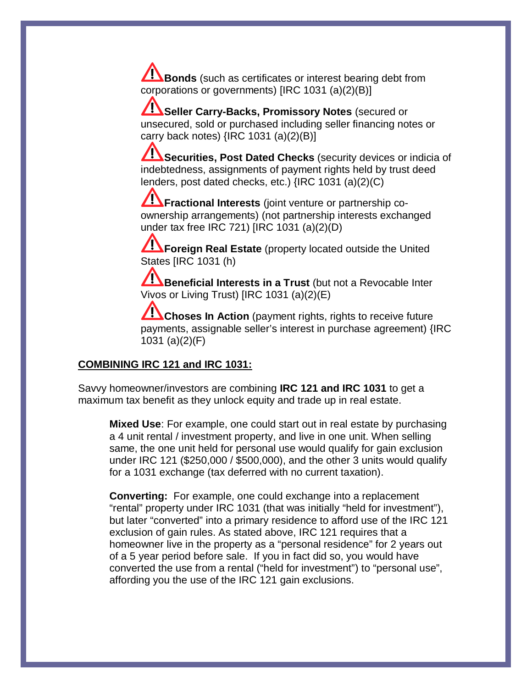**Bonds** (such as certificates or interest bearing debt from corporations or governments) [IRC 1031 (a)(2)(B)]

**Z: Seller Carry-Backs, Promissory Notes** (secured or unsecured, sold or purchased including seller financing notes or carry back notes)  $\{ \text{IRC } 1031 \text{ (a)}(2)(\text{B)} \}$ 

**Securities, Post Dated Checks** (security devices or indicia of indebtedness, assignments of payment rights held by trust deed lenders, post dated checks, etc.) {IRC 1031 (a)(2)(C)

**Fractional Interests** (joint venture or partnership coownership arrangements) (not partnership interests exchanged under tax free IRC 721) [IRC 1031 (a)(2)(D)

**Foreign Real Estate** (property located outside the United States [IRC 1031 (h)

**Beneficial Interests in a Trust** (but not a Revocable Inter Vivos or Living Trust) [IRC 1031 (a)(2)(E)

**Choses In Action** (payment rights, rights to receive future payments, assignable seller's interest in purchase agreement) {IRC 1031 (a)(2)(F)

#### **COMBINING IRC 121 and IRC 1031:**

Savvy homeowner/investors are combining **IRC 121 and IRC 1031** to get a maximum tax benefit as they unlock equity and trade up in real estate.

**Mixed Use**: For example, one could start out in real estate by purchasing a 4 unit rental / investment property, and live in one unit. When selling same, the one unit held for personal use would qualify for gain exclusion under IRC 121 (\$250,000 / \$500,000), and the other 3 units would qualify for a 1031 exchange (tax deferred with no current taxation).

**Converting:** For example, one could exchange into a replacement "rental" property under IRC 1031 (that was initially "held for investment"), but later "converted" into a primary residence to afford use of the IRC 121 exclusion of gain rules. As stated above, IRC 121 requires that a homeowner live in the property as a "personal residence" for 2 years out of a 5 year period before sale. If you in fact did so, you would have converted the use from a rental ("held for investment") to "personal use", affording you the use of the IRC 121 gain exclusions.